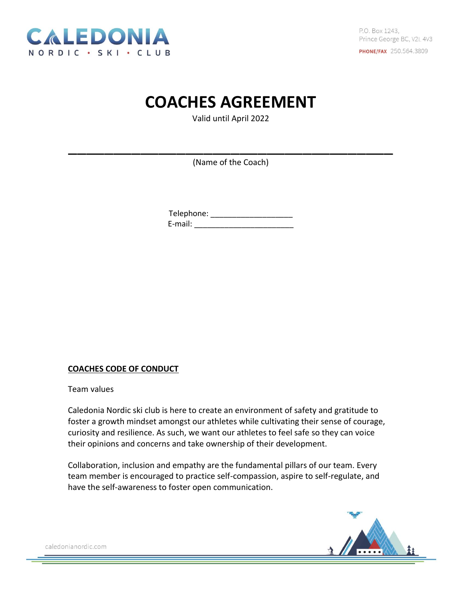

# **COACHES AGREEMENT**

Valid until April 2022

(Name of the Coach)

\_\_\_\_\_\_\_\_\_\_\_\_\_\_\_\_\_\_\_\_\_\_\_\_\_\_\_\_\_\_\_\_\_\_\_\_

Telephone: \_\_\_\_\_\_\_\_\_\_\_\_\_\_\_\_\_\_\_\_\_\_\_\_\_ E-mail: \_\_\_\_\_\_\_\_\_\_\_\_\_\_\_\_\_\_\_\_\_\_\_

## **COACHES CODE OF CONDUCT**

Team values

Caledonia Nordic ski club is here to create an environment of safety and gratitude to foster a growth mindset amongst our athletes while cultivating their sense of courage, curiosity and resilience. As such, we want our athletes to feel safe so they can voice their opinions and concerns and take ownership of their development.

Collaboration, inclusion and empathy are the fundamental pillars of our team. Every team member is encouraged to practice self-compassion, aspire to self-regulate, and have the self-awareness to foster open communication.

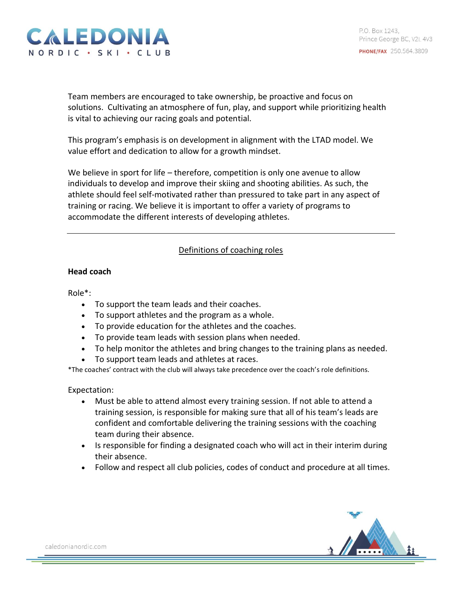

Team members are encouraged to take ownership, be proactive and focus on solutions. Cultivating an atmosphere of fun, play, and support while prioritizing health is vital to achieving our racing goals and potential.

This program's emphasis is on development in alignment with the LTAD model. We value effort and dedication to allow for a growth mindset.

We believe in sport for life – therefore, competition is only one avenue to allow individuals to develop and improve their skiing and shooting abilities. As such, the athlete should feel self-motivated rather than pressured to take part in any aspect of training or racing. We believe it is important to offer a variety of programs to accommodate the different interests of developing athletes.

## Definitions of coaching roles

### **Head coach**

Role\*:

- To support the team leads and their coaches.
- To support athletes and the program as a whole.
- To provide education for the athletes and the coaches.
- To provide team leads with session plans when needed.
- To help monitor the athletes and bring changes to the training plans as needed.
- To support team leads and athletes at races.

\*The coaches' contract with the club will always take precedence over the coach's role definitions.

Expectation:

- Must be able to attend almost every training session. If not able to attend a training session, is responsible for making sure that all of his team's leads are confident and comfortable delivering the training sessions with the coaching team during their absence.
- Is responsible for finding a designated coach who will act in their interim during their absence.
- Follow and respect all club policies, codes of conduct and procedure at all times.

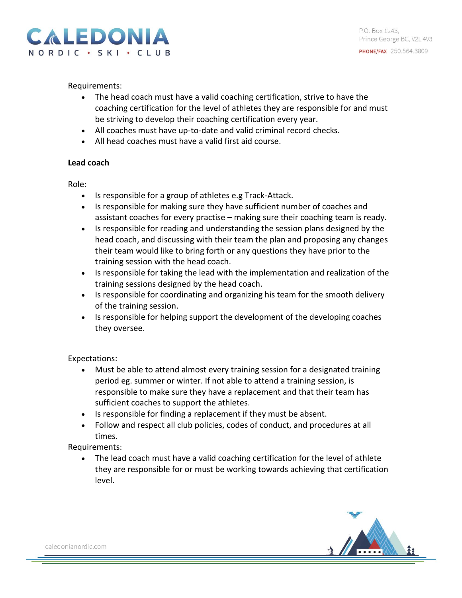

Requirements:

- The head coach must have a valid coaching certification, strive to have the coaching certification for the level of athletes they are responsible for and must be striving to develop their coaching certification every year.
- All coaches must have up-to-date and valid criminal record checks.
- All head coaches must have a valid first aid course.

### **Lead coach**

Role:

- Is responsible for a group of athletes e.g Track-Attack.
- Is responsible for making sure they have sufficient number of coaches and assistant coaches for every practise – making sure their coaching team is ready.
- Is responsible for reading and understanding the session plans designed by the head coach, and discussing with their team the plan and proposing any changes their team would like to bring forth or any questions they have prior to the training session with the head coach.
- Is responsible for taking the lead with the implementation and realization of the training sessions designed by the head coach.
- Is responsible for coordinating and organizing his team for the smooth delivery of the training session.
- Is responsible for helping support the development of the developing coaches they oversee.

Expectations:

- Must be able to attend almost every training session for a designated training period eg. summer or winter. If not able to attend a training session, is responsible to make sure they have a replacement and that their team has sufficient coaches to support the athletes.
- Is responsible for finding a replacement if they must be absent.
- Follow and respect all club policies, codes of conduct, and procedures at all times.

## Requirements:

• The lead coach must have a valid coaching certification for the level of athlete they are responsible for or must be working towards achieving that certification level.

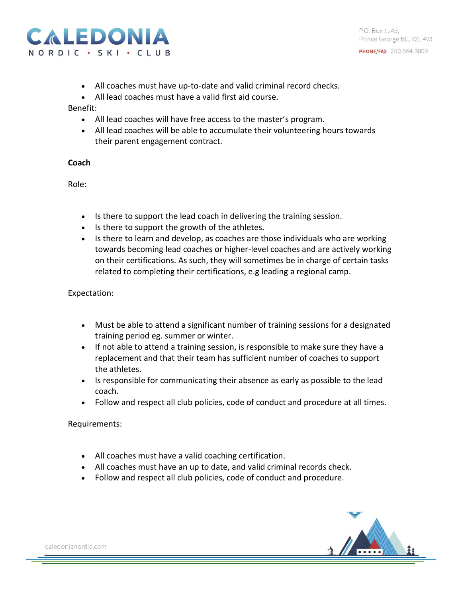

- All coaches must have up-to-date and valid criminal record checks.
- All lead coaches must have a valid first aid course.

### Benefit:

- All lead coaches will have free access to the master's program.
- All lead coaches will be able to accumulate their volunteering hours towards their parent engagement contract.

### **Coach**

Role:

- Is there to support the lead coach in delivering the training session.
- Is there to support the growth of the athletes.
- Is there to learn and develop, as coaches are those individuals who are working towards becoming lead coaches or higher-level coaches and are actively working on their certifications. As such, they will sometimes be in charge of certain tasks related to completing their certifications, e.g leading a regional camp.

Expectation:

- Must be able to attend a significant number of training sessions for a designated training period eg. summer or winter.
- If not able to attend a training session, is responsible to make sure they have a replacement and that their team has sufficient number of coaches to support the athletes.
- Is responsible for communicating their absence as early as possible to the lead coach.
- Follow and respect all club policies, code of conduct and procedure at all times.

Requirements:

- All coaches must have a valid coaching certification.
- All coaches must have an up to date, and valid criminal records check.
- Follow and respect all club policies, code of conduct and procedure.

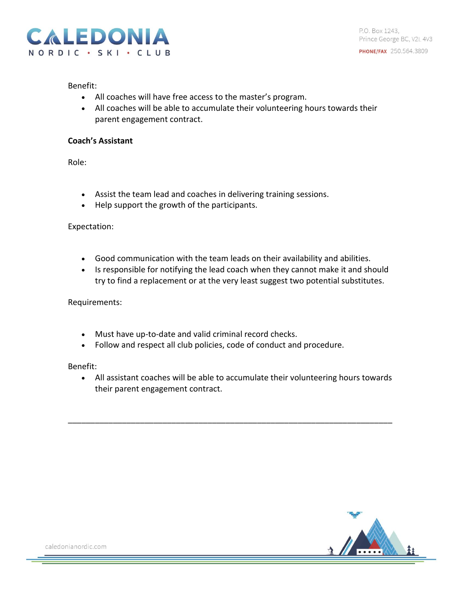

P.O. Box 1243. Prince George BC, V2L 4V3 **PHONE/FAX** 250.564.3809

#### Benefit:

- All coaches will have free access to the master's program.
- All coaches will be able to accumulate their volunteering hours towards their parent engagement contract.

#### **Coach's Assistant**

Role:

- Assist the team lead and coaches in delivering training sessions.
- Help support the growth of the participants.

Expectation:

- Good communication with the team leads on their availability and abilities.
- Is responsible for notifying the lead coach when they cannot make it and should try to find a replacement or at the very least suggest two potential substitutes.

Requirements:

- Must have up-to-date and valid criminal record checks.
- Follow and respect all club policies, code of conduct and procedure.

Benefit:

• All assistant coaches will be able to accumulate their volunteering hours towards their parent engagement contract.

\_\_\_\_\_\_\_\_\_\_\_\_\_\_\_\_\_\_\_\_\_\_\_\_\_\_\_\_\_\_\_\_\_\_\_\_\_\_\_\_\_\_\_\_\_\_\_\_\_\_\_\_\_\_\_\_\_\_\_\_\_\_\_\_\_\_\_\_\_\_\_\_

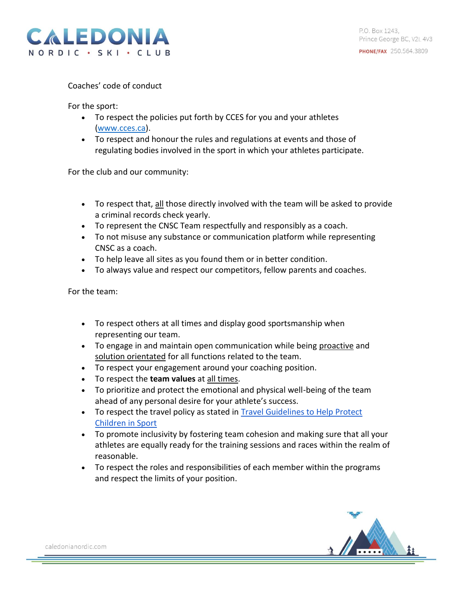

Coaches' code of conduct

For the sport:

- To respect the policies put forth by CCES for you and your athletes [\(www.cces.ca\)](http://www.cces.ca/).
- To respect and honour the rules and regulations at events and those of regulating bodies involved in the sport in which your athletes participate.

For the club and our community:

- To respect that, all those directly involved with the team will be asked to provide a criminal records check yearly.
- To represent the CNSC Team respectfully and responsibly as a coach.
- To not misuse any substance or communication platform while representing CNSC as a coach.
- To help leave all sites as you found them or in better condition.
- To always value and respect our competitors, fellow parents and coaches.

For the team:

- To respect others at all times and display good sportsmanship when representing our team.
- To engage in and maintain open communication while being proactive and solution orientated for all functions related to the team.
- To respect your engagement around your coaching position.
- To respect the **team values** at all times.
- To prioritize and protect the emotional and physical well-being of the team ahead of any personal desire for your athlete's success.
- To respect the travel policy as stated in [Travel Guidelines to Help Protect](https://commit2kids.ca/pdfs/EDU_TravelGuidelinesYouthSport_en.pdf)  [Children in Sport](https://commit2kids.ca/pdfs/EDU_TravelGuidelinesYouthSport_en.pdf)
- To promote inclusivity by fostering team cohesion and making sure that all your athletes are equally ready for the training sessions and races within the realm of reasonable.
- To respect the roles and responsibilities of each member within the programs and respect the limits of your position.

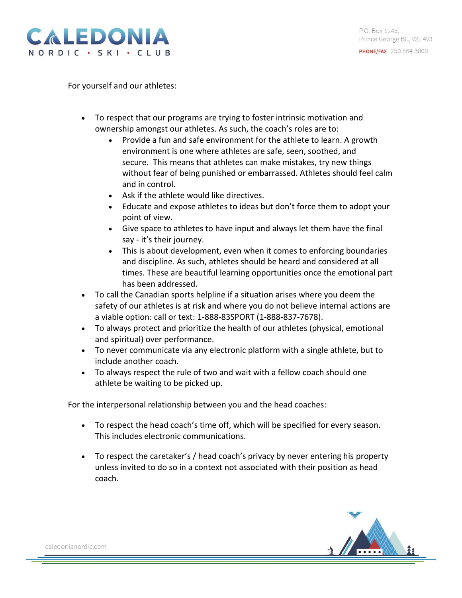

For yourself and our athletes:

- To respect that our programs are trying to foster intrinsic motivation and ownership amongst our athletes. As such, the coach's roles are to:
	- Provide a fun and safe environment for the athlete to learn. A growth environment is one where athletes are safe, seen, soothed, and secure. This means that athletes can make mistakes, try new things without fear of being punished or embarrassed. Athletes should feel calm and in control.
	- Ask if the athlete would like directives.
	- Educate and expose athletes to ideas but don't force them to adopt your point of view.
	- Give space to athletes to have input and always let them have the final say - it's their journey.
	- This is about development, even when it comes to enforcing boundaries and discipline. As such, athletes should be heard and considered at all times. These are beautiful learning opportunities once the emotional part has been addressed.
- To call the Canadian sports helpline if a situation arises where you deem the safety of our athletes is at risk and where you do not believe internal actions are a viable option: call or text: 1-888-83SPORT (1-888-837-7678).
- To always protect and prioritize the health of our athletes (physical, emotional and spiritual) over performance.
- To never communicate via any electronic platform with a single athlete, but to include another coach.
- To always respect the rule of two and wait with a fellow coach should one athlete be waiting to be picked up.

For the interpersonal relationship between you and the head coaches:

- To respect the head coach's time off, which will be specified for every season. This includes electronic communications.
- To respect the caretaker's / head coach's privacy by never entering his property unless invited to do so in a context not associated with their position as head coach.

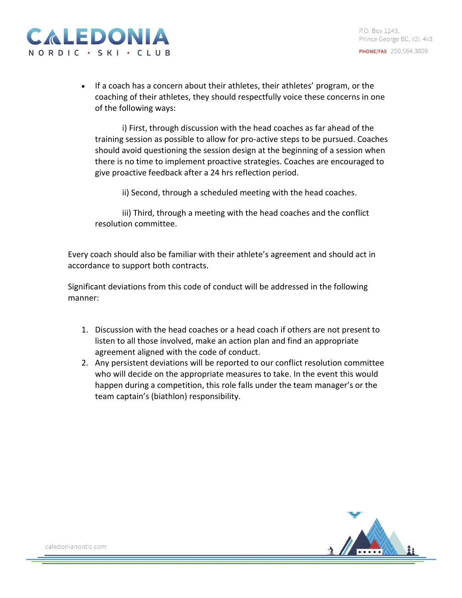

• If a coach has a concern about their athletes, their athletes' program, or the coaching of their athletes, they should respectfully voice these concerns in one of the following ways:

i) First, through discussion with the head coaches as far ahead of the training session as possible to allow for pro-active steps to be pursued. Coaches should avoid questioning the session design at the beginning of a session when there is no time to implement proactive strategies. Coaches are encouraged to give proactive feedback after a 24 hrs reflection period.

ii) Second, through a scheduled meeting with the head coaches.

iii) Third, through a meeting with the head coaches and the conflict resolution committee.

Every coach should also be familiar with their athlete's agreement and should act in accordance to support both contracts.

Significant deviations from this code of conduct will be addressed in the following manner:

- 1. Discussion with the head coaches or a head coach if others are not present to listen to all those involved, make an action plan and find an appropriate agreement aligned with the code of conduct.
- 2. Any persistent deviations will be reported to our conflict resolution committee who will decide on the appropriate measures to take. In the event this would happen during a competition, this role falls under the team manager's or the team captain's (biathlon) responsibility.